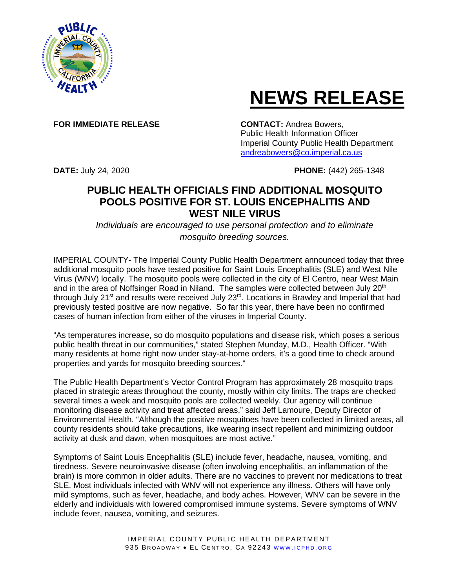

## **NEWS RELEASE**

**FOR IMMEDIATE RELEASE CONTACT:** Andrea Bowers,

Public Health Information Officer Imperial County Public Health Department [andreabowers@co.imperial.ca.us](mailto:andreabowers@co.imperial.ca.us)

**DATE:** July 24, 2020 **PHONE:** (442) 265-1348

## **PUBLIC HEALTH OFFICIALS FIND ADDITIONAL MOSQUITO POOLS POSITIVE FOR ST. LOUIS ENCEPHALITIS AND WEST NILE VIRUS**

*Individuals are encouraged to use personal protection and to eliminate mosquito breeding sources.*

IMPERIAL COUNTY- The Imperial County Public Health Department announced today that three additional mosquito pools have tested positive for Saint Louis Encephalitis (SLE) and West Nile Virus (WNV) locally. The mosquito pools were collected in the city of El Centro, near West Main and in the area of Noffsinger Road in Niland. The samples were collected between July 20<sup>th</sup> through July 21<sup>st</sup> and results were received July 23<sup>rd</sup>. Locations in Brawley and Imperial that had previously tested positive are now negative. So far this year, there have been no confirmed cases of human infection from either of the viruses in Imperial County.

"As temperatures increase, so do mosquito populations and disease risk, which poses a serious public health threat in our communities," stated Stephen Munday, M.D., Health Officer. "With many residents at home right now under stay-at-home orders, it's a good time to check around properties and yards for mosquito breeding sources."

The Public Health Department's Vector Control Program has approximately 28 mosquito traps placed in strategic areas throughout the county, mostly within city limits. The traps are checked several times a week and mosquito pools are collected weekly. Our agency will continue monitoring disease activity and treat affected areas," said Jeff Lamoure, Deputy Director of Environmental Health. "Although the positive mosquitoes have been collected in limited areas, all county residents should take precautions, like wearing insect repellent and minimizing outdoor activity at dusk and dawn, when mosquitoes are most active."

Symptoms of Saint Louis Encephalitis (SLE) include fever, headache, nausea, vomiting, and tiredness. Severe neuroinvasive disease (often involving encephalitis, an inflammation of the brain) is more common in older adults. There are no vaccines to prevent nor medications to treat SLE. Most individuals infected with WNV will not experience any illness. Others will have only mild symptoms, such as fever, headache, and body aches. However, WNV can be severe in the elderly and individuals with lowered compromised immune systems. Severe symptoms of WNV include fever, nausea, vomiting, and seizures.